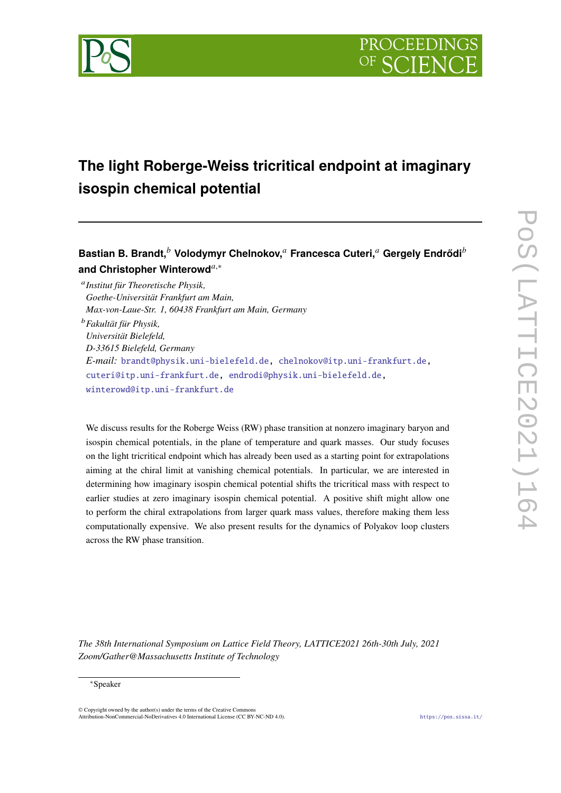

# **The light Roberge-Weiss tricritical endpoint at imaginary isospin chemical potential**

**Bastian B. Brandt, Volodymyr Chelnokov, Francesca Cuteri, Gergely Endrődi and Christopher Winterowd**,<sup>∗</sup>

 *Institut für Theoretische Physik, Goethe-Universität Frankfurt am Main, Max-von-Laue-Str. 1, 60438 Frankfurt am Main, Germany Fakultät für Physik, Universität Bielefeld, D-33615 Bielefeld, Germany E-mail:* [brandt@physik.uni-bielefeld.de,](mailto:brandt@physik.uni-bielefeld.de) [chelnokov@itp.uni-frankfurt.de,](mailto:chelnokov@itp.uni-frankfurt.de) [cuteri@itp.uni-frankfurt.de,](mailto:cuteri@itp.uni-frankfurt.de) [endrodi@physik.uni-bielefeld.de,](mailto:endrodi@physik.uni-bielefeld.de) [winterowd@itp.uni-frankfurt.de](mailto:winterowd@itp.uni-frankfurt.de)

We discuss results for the Roberge Weiss (RW) phase transition at nonzero imaginary baryon and isospin chemical potentials, in the plane of temperature and quark masses. Our study focuses on the light tricritical endpoint which has already been used as a starting point for extrapolations aiming at the chiral limit at vanishing chemical potentials. In particular, we are interested in determining how imaginary isospin chemical potential shifts the tricritical mass with respect to earlier studies at zero imaginary isospin chemical potential. A positive shift might allow one to perform the chiral extrapolations from larger quark mass values, therefore making them less computationally expensive. We also present results for the dynamics of Polyakov loop clusters across the RW phase transition.

*The 38th International Symposium on Lattice Field Theory, LATTICE2021 26th-30th July, 2021 Zoom/Gather@Massachusetts Institute of Technology*

#### <sup>∗</sup>Speaker

 $\odot$  Copyright owned by the author(s) under the terms of the Creative Common Attribution-NonCommercial-NoDerivatives 4.0 International License (CC BY-NC-ND 4.0). <https://pos.sissa.it/>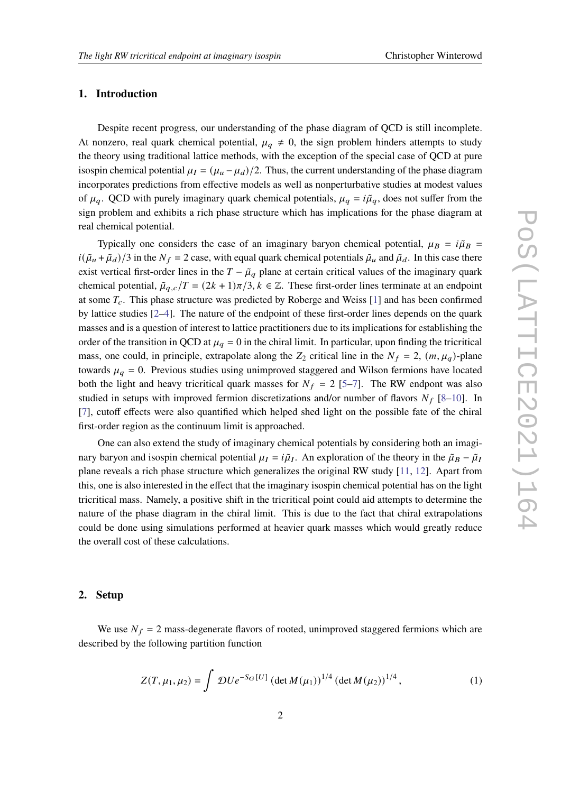#### **1. Introduction**

Despite recent progress, our understanding of the phase diagram of QCD is still incomplete. At nonzero, real quark chemical potential,  $\mu_a \neq 0$ , the sign problem hinders attempts to study the theory using traditional lattice methods, with the exception of the special case of QCD at pure isospin chemical potential  $\mu_I = (\mu_\mu - \mu_d)/2$ . Thus, the current understanding of the phase diagram incorporates predictions from effective models as well as nonperturbative studies at modest values of  $\mu_q$ . QCD with purely imaginary quark chemical potentials,  $\mu_q = i\tilde{\mu}_q$ , does not suffer from the sign problem and exhibits a rich phase structure which has implications for the phase diagram at real chemical potential.

Typically one considers the case of an imaginary baryon chemical potential,  $\mu_B = i \tilde{\mu}_B$  $i(\tilde{\mu}_u + \tilde{\mu}_d)/3$  in the  $N_f = 2$  case, with equal quark chemical potentials  $\tilde{\mu}_u$  and  $\tilde{\mu}_d$ . In this case there exist vertical first-order lines in the  $T - \tilde{\mu}_q$  plane at certain critical values of the imaginary quark chemical potential,  $\tilde{\mu}_{q,c}/T = (2k+1)\pi/3, k \in \mathbb{Z}$ . These first-order lines terminate at an endpoint at some  $T_c$ . This phase structure was predicted by Roberge and Weiss [\[1\]](#page-6-0) and has been confirmed by lattice studies [\[2](#page-6-1)[–4\]](#page-6-2). The nature of the endpoint of these first-order lines depends on the quark masses and is a question of interest to lattice practitioners due to its implications for establishing the order of the transition in QCD at  $\mu_q = 0$  in the chiral limit. In particular, upon finding the tricritical mass, one could, in principle, extrapolate along the  $Z_2$  critical line in the  $N_f = 2$ ,  $(m, \mu_q)$ -plane towards  $\mu_q = 0$ . Previous studies using unimproved staggered and Wilson fermions have located both the light and heavy tricritical quark masses for  $N_f = 2$  [\[5–](#page-6-3)[7\]](#page-6-4). The RW endpont was also studied in setups with improved fermion discretizations and/or number of flavors  $N_f$  [\[8–](#page-6-5)[10\]](#page-7-0). In [\[7\]](#page-6-4), cutoff effects were also quantified which helped shed light on the possible fate of the chiral first-order region as the continuum limit is approached.

One can also extend the study of imaginary chemical potentials by considering both an imaginary baryon and isospin chemical potential  $\mu_I = i\tilde{\mu}_I$ . An exploration of the theory in the  $\tilde{\mu}_B - \tilde{\mu}_I$ plane reveals a rich phase structure which generalizes the original RW study [\[11,](#page-7-1) [12\]](#page-7-2). Apart from this, one is also interested in the effect that the imaginary isospin chemical potential has on the light tricritical mass. Namely, a positive shift in the tricritical point could aid attempts to determine the nature of the phase diagram in the chiral limit. This is due to the fact that chiral extrapolations could be done using simulations performed at heavier quark masses which would greatly reduce the overall cost of these calculations.

# **2. Setup**

We use  $N_f = 2$  mass-degenerate flavors of rooted, unimproved staggered fermions which are described by the following partition function

<span id="page-1-0"></span>
$$
Z(T, \mu_1, \mu_2) = \int \mathcal{D}U e^{-S_G[U]} \left( \det M(\mu_1) \right)^{1/4} \left( \det M(\mu_2) \right)^{1/4}, \tag{1}
$$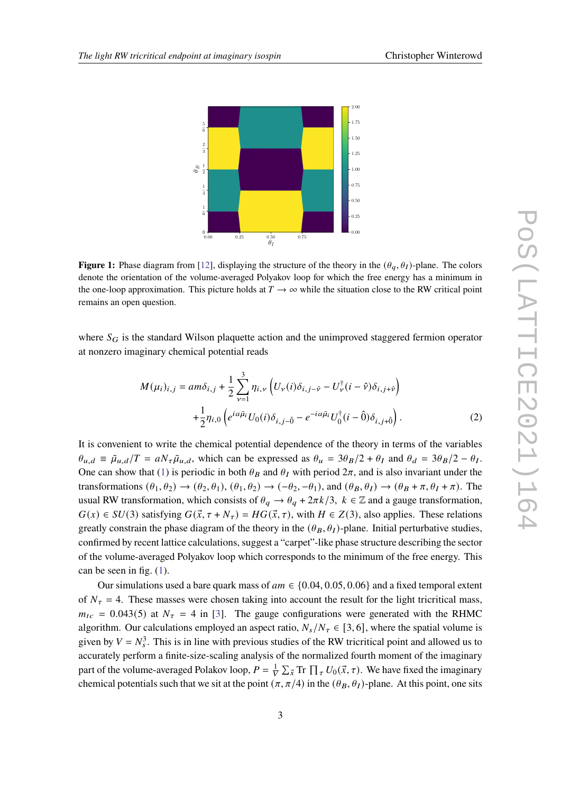<span id="page-2-0"></span>

**Figure 1:** Phase diagram from [\[12\]](#page-7-2), displaying the structure of the theory in the  $(\theta_a, \theta_I)$ -plane. The colors denote the orientation of the volume-averaged Polyakov loop for which the free energy has a minimum in the one-loop approximation. This picture holds at  $T \to \infty$  while the situation close to the RW critical point remains an open question.

where  $S_G$  is the standard Wilson plaquette action and the unimproved staggered fermion operator at nonzero imaginary chemical potential reads

$$
M(\mu_i)_{i,j} = am\delta_{i,j} + \frac{1}{2} \sum_{\nu=1}^3 \eta_{i,\nu} \left( U_{\nu}(i)\delta_{i,j-\hat{\nu}} - U_{\nu}^{\dagger}(i-\hat{\nu})\delta_{i,j+\hat{\nu}} \right) + \frac{1}{2} \eta_{i,0} \left( e^{ia\tilde{\mu}_i} U_0(i)\delta_{i,j-\hat{0}} - e^{-ia\tilde{\mu}_i} U_0^{\dagger}(i-\hat{0})\delta_{i,j+\hat{0}} \right).
$$
 (2)

It is convenient to write the chemical potential dependence of the theory in terms of the variables  $\theta_{u,d} \equiv \tilde{\mu}_{u,d}/T = aN_{\tau} \tilde{\mu}_{u,d}$ , which can be expressed as  $\theta_u = 3\theta_B/2 + \theta_I$  and  $\theta_d = 3\theta_B/2 - \theta_I$ . One can show that [\(1\)](#page-1-0) is periodic in both  $\theta_B$  and  $\theta_I$  with period  $2\pi$ , and is also invariant under the transformations  $(\theta_1, \theta_2) \rightarrow (\theta_2, \theta_1), (\theta_1, \theta_2) \rightarrow (-\theta_2, -\theta_1)$ , and  $(\theta_B, \theta_I) \rightarrow (\theta_B + \pi, \theta_I + \pi)$ . The usual RW transformation, which consists of  $\theta_q \to \theta_q + 2\pi k/3$ ,  $k \in \mathbb{Z}$  and a gauge transformation,  $G(x) \in SU(3)$  satisfying  $G(\vec{x}, \tau + N_{\tau}) = HG(\vec{x}, \tau)$ , with  $H \in Z(3)$ , also applies. These relations greatly constrain the phase diagram of the theory in the  $(\theta_B, \theta_I)$ -plane. Initial perturbative studies, confirmed by recent lattice calculations, suggest a "carpet"-like phase structure describing the sector of the volume-averaged Polyakov loop which corresponds to the minimum of the free energy. This can be seen in fig. [\(1\)](#page-2-0).

Our simulations used a bare quark mass of  $am \in \{0.04, 0.05, 0.06\}$  and a fixed temporal extent of  $N_{\tau} = 4$ . These masses were chosen taking into account the result for the light tricritical mass,  $m_{tc} = 0.043(5)$  at  $N_{\tau} = 4$  in [\[3\]](#page-6-6). The gauge configurations were generated with the RHMC algorithm. Our calculations employed an aspect ratio,  $N_s/N_\tau \in [3,6]$ , where the spatial volume is given by  $V = N_s^3$ . This is in line with previous studies of the RW tricritical point and allowed us to accurately perform a finite-size-scaling analysis of the normalized fourth moment of the imaginary part of the volume-averaged Polakov loop,  $P = \frac{1}{V} \sum_{\vec{x}} Tr \prod_{\tau} U_0(\vec{x}, \tau)$ . We have fixed the imaginary chemical potentials such that we sit at the point  $(\pi, \pi/4)$  in the  $(\theta_B, \theta_I)$ -plane. At this point, one sits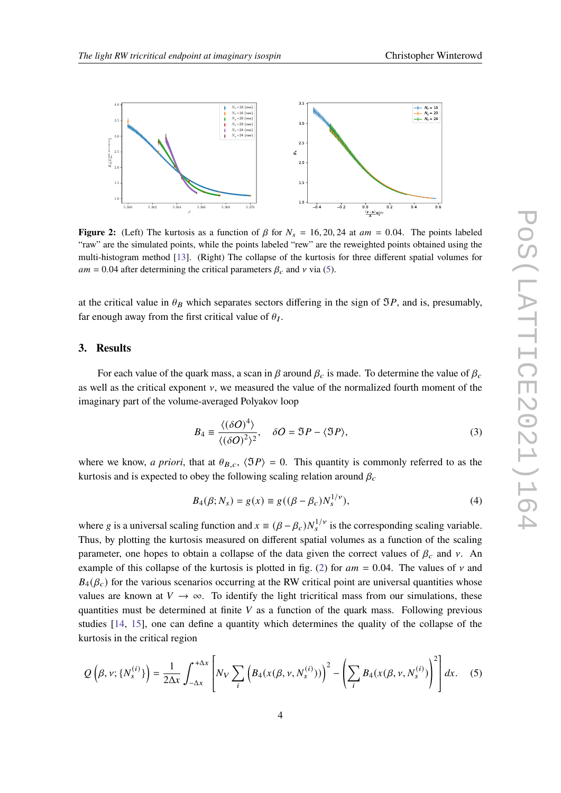<span id="page-3-1"></span>

**Figure 2:** (Left) The kurtosis as a function of  $\beta$  for  $N_s = 16, 20, 24$  at  $am = 0.04$ . The points labeled "raw" are the simulated points, while the points labeled "rew" are the reweighted points obtained using the multi-histogram method [\[13\]](#page-7-3). (Right) The collapse of the kurtosis for three different spatial volumes for  $am = 0.04$  after determining the critical parameters  $\beta_c$  and  $\nu$  via [\(5\)](#page-3-0).

at the critical value in  $\theta_B$  which separates sectors differing in the sign of  $\mathfrak{I}P$ , and is, presumably, far enough away from the first critical value of  $\theta_I$ .

## **3. Results**

For each value of the quark mass, a scan in  $\beta$  around  $\beta_c$  is made. To determine the value of  $\beta_c$ as well as the critical exponent  $\nu$ , we measured the value of the normalized fourth moment of the imaginary part of the volume-averaged Polyakov loop

$$
B_4 = \frac{\langle (\delta O)^4 \rangle}{\langle (\delta O)^2 \rangle^2}, \quad \delta O = \Im P - \langle \Im P \rangle,\tag{3}
$$

where we know, *a priori*, that at  $\theta_{B,c}$ ,  $\langle \Im P \rangle = 0$ . This quantity is commonly referred to as the kurtosis and is expected to obey the following scaling relation around  $\beta_c$ 

$$
B_4(\beta; N_s) = g(x) \equiv g((\beta - \beta_c)N_s^{1/\nu}),
$$
\n(4)

where g is a universal scaling function and  $x = (\beta - \beta_c) N_s^{1/\nu}$  is the corresponding scaling variable. Thus, by plotting the kurtosis measured on different spatial volumes as a function of the scaling parameter, one hopes to obtain a collapse of the data given the correct values of  $\beta_c$  and v. An example of this collapse of the kurtosis is plotted in fig. [\(2\)](#page-3-1) for  $am = 0.04$ . The values of v and  $B_4(\beta_c)$  for the various scenarios occurring at the RW critical point are universal quantities whose values are known at  $V \to \infty$ . To identify the light tricritical mass from our simulations, these quantities must be determined at finite  $V$  as a function of the quark mass. Following previous studies [\[14,](#page-7-4) [15\]](#page-7-5), one can define a quantity which determines the quality of the collapse of the kurtosis in the critical region

<span id="page-3-0"></span>
$$
Q\left(\beta, \nu; \{N_s^{(i)}\}\right) = \frac{1}{2\Delta x} \int_{-\Delta x}^{+\Delta x} \left[ N_V \sum_i \left( B_4(x(\beta, \nu, N_s^{(i)})) \right)^2 - \left( \sum_i B_4(x(\beta, \nu, N_s^{(i)})) \right)^2 \right] dx. \tag{5}
$$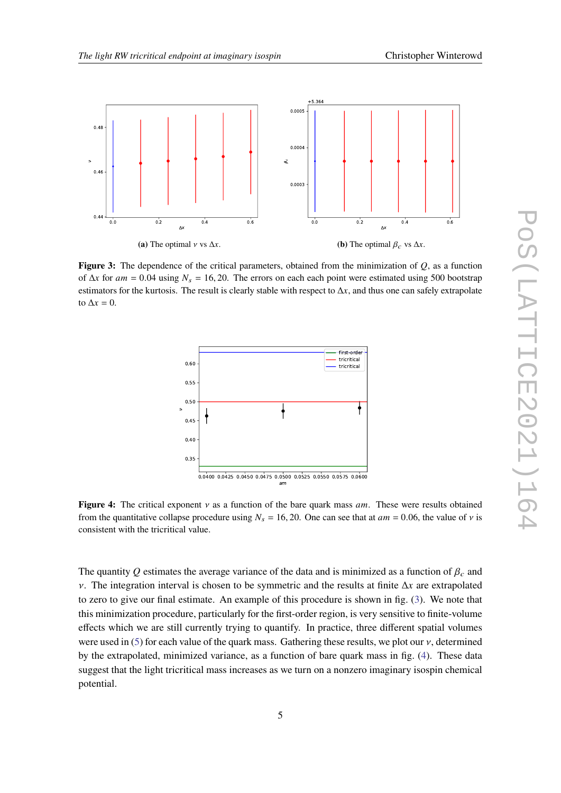<span id="page-4-0"></span>

<span id="page-4-1"></span>**Figure 3:** The dependence of the critical parameters, obtained from the minimization of  $Q$ , as a function of  $\Delta x$  for  $am = 0.04$  using  $N_s = 16, 20$ . The errors on each each point were estimated using 500 bootstrap estimators for the kurtosis. The result is clearly stable with respect to  $\Delta x$ , and thus one can safely extrapolate to  $\Delta x = 0$ .



**Figure 4:** The critical exponent  $\nu$  as a function of the bare quark mass  $am$ . These were results obtained from the quantitative collapse procedure using  $N_s = 16, 20$ . One can see that at  $am = 0.06$ , the value of v is consistent with the tricritical value.

The quantity Q estimates the average variance of the data and is minimized as a function of  $\beta_c$  and  $\nu$ . The integration interval is chosen to be symmetric and the results at finite  $\Delta x$  are extrapolated to zero to give our final estimate. An example of this procedure is shown in fig. [\(3\)](#page-4-0). We note that this minimization procedure, particularly for the first-order region, is very sensitive to finite-volume effects which we are still currently trying to quantify. In practice, three different spatial volumes were used in [\(5\)](#page-3-0) for each value of the quark mass. Gathering these results, we plot our  $\nu$ , determined by the extrapolated, minimized variance, as a function of bare quark mass in fig. [\(4\)](#page-4-1). These data suggest that the light tricritical mass increases as we turn on a nonzero imaginary isospin chemical potential.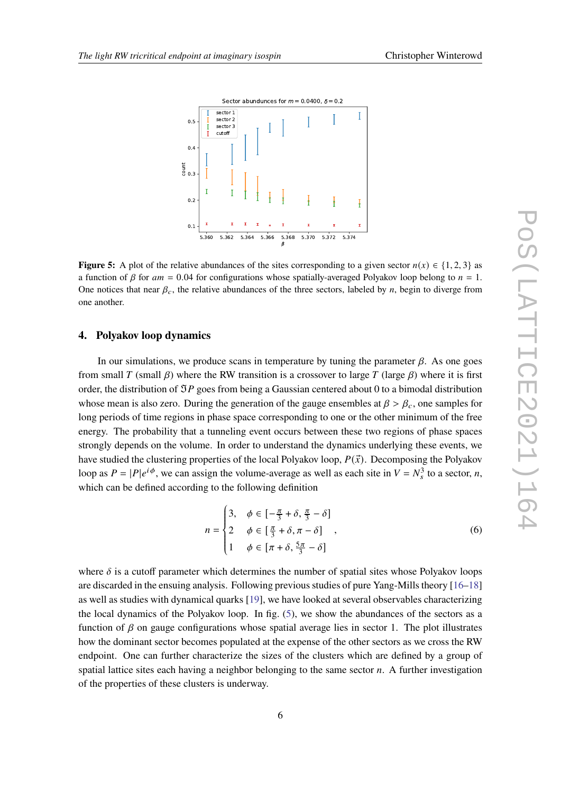<span id="page-5-0"></span>

**Figure 5:** A plot of the relative abundances of the sites corresponding to a given sector  $n(x) \in \{1, 2, 3\}$  as a function of  $\beta$  for  $am = 0.04$  for configurations whose spatially-averaged Polyakov loop belong to  $n = 1$ . One notices that near  $\beta_c$ , the relative abundances of the three sectors, labeled by *n*, begin to diverge from one another.

## **4. Polyakov loop dynamics**

In our simulations, we produce scans in temperature by tuning the parameter  $\beta$ . As one goes from small T (small  $\beta$ ) where the RW transition is a crossover to large T (large  $\beta$ ) where it is first order, the distribution of  $\Im P$  goes from being a Gaussian centered about 0 to a bimodal distribution whose mean is also zero. During the generation of the gauge ensembles at  $\beta > \beta_c$ , one samples for long periods of time regions in phase space corresponding to one or the other minimum of the free energy. The probability that a tunneling event occurs between these two regions of phase spaces strongly depends on the volume. In order to understand the dynamics underlying these events, we have studied the clustering properties of the local Polyakov loop,  $P(\vec{x})$ . Decomposing the Polyakov loop as  $P = |P|e^{i\phi}$ , we can assign the volume-average as well as each site in  $V = N_s^3$  to a sector, *n*, which can be defined according to the following definition

$$
n = \begin{cases} 3, & \phi \in \left[ -\frac{\pi}{3} + \delta, \frac{\pi}{3} - \delta \right] \\ 2 & \phi \in \left[ \frac{\pi}{3} + \delta, \pi - \delta \right] \\ 1 & \phi \in \left[ \pi + \delta, \frac{5\pi}{3} - \delta \right] \end{cases},
$$
 (6)

where  $\delta$  is a cutoff parameter which determines the number of spatial sites whose Polyakov loops are discarded in the ensuing analysis. Following previous studies of pure Yang-Mills theory [\[16](#page-7-6)[–18\]](#page-7-7) as well as studies with dynamical quarks [\[19\]](#page-7-8), we have looked at several observables characterizing the local dynamics of the Polyakov loop. In fig. [\(5\)](#page-5-0), we show the abundances of the sectors as a function of  $\beta$  on gauge configurations whose spatial average lies in sector 1. The plot illustrates how the dominant sector becomes populated at the expense of the other sectors as we cross the RW endpoint. One can further characterize the sizes of the clusters which are defined by a group of spatial lattice sites each having a neighbor belonging to the same sector  $n$ . A further investigation of the properties of these clusters is underway.

 $\overline{a}$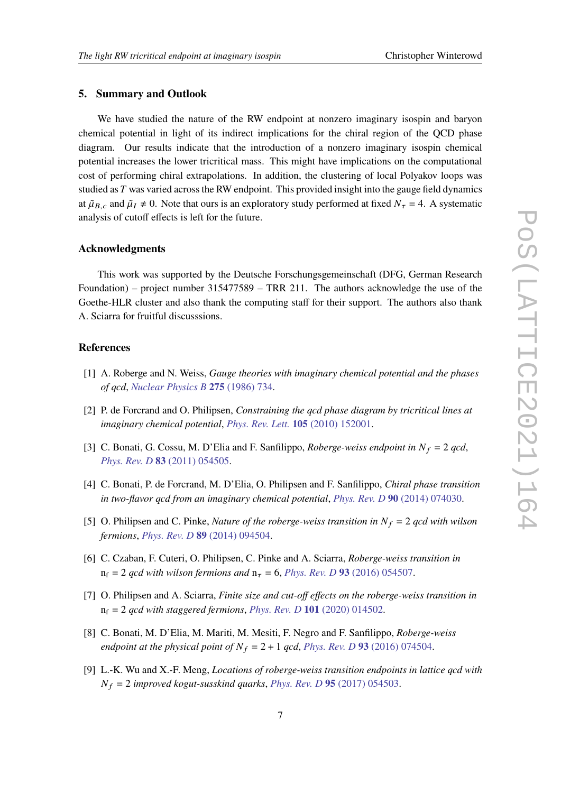#### **5. Summary and Outlook**

We have studied the nature of the RW endpoint at nonzero imaginary isospin and baryon chemical potential in light of its indirect implications for the chiral region of the QCD phase diagram. Our results indicate that the introduction of a nonzero imaginary isospin chemical potential increases the lower tricritical mass. This might have implications on the computational cost of performing chiral extrapolations. In addition, the clustering of local Polyakov loops was studied as  $T$  was varied across the RW endpoint. This provided insight into the gauge field dynamics at  $\tilde{\mu}_{B,c}$  and  $\tilde{\mu}_I \neq 0$ . Note that ours is an exploratory study performed at fixed  $N_{\tau} = 4$ . A systematic analysis of cutoff effects is left for the future.

## **Acknowledgments**

This work was supported by the Deutsche Forschungsgemeinschaft (DFG, German Research Foundation) – project number 315477589 – TRR 211. The authors acknowledge the use of the Goethe-HLR cluster and also thank the computing staff for their support. The authors also thank A. Sciarra for fruitful discusssions.

# **References**

- <span id="page-6-0"></span>[1] A. Roberge and N. Weiss, *Gauge theories with imaginary chemical potential and the phases of qcd*, *[Nuclear Physics B](https://doi.org/https://doi.org/10.1016/0550-3213(86)90582-1)* **275** (1986) 734.
- <span id="page-6-1"></span>[2] P. de Forcrand and O. Philipsen, *Constraining the qcd phase diagram by tricritical lines at imaginary chemical potential*, *[Phys. Rev. Lett.](https://doi.org/10.1103/PhysRevLett.105.152001)* **105** (2010) 152001.
- <span id="page-6-6"></span>[3] C. Bonati, G. Cossu, M. D'Elia and F. Sanfilippo, *Roberge-weiss endpoint in*  $N_f = 2$  *qcd*, *Phys. Rev. D* **83** [\(2011\) 054505.](https://doi.org/10.1103/PhysRevD.83.054505)
- <span id="page-6-2"></span>[4] C. Bonati, P. de Forcrand, M. D'Elia, O. Philipsen and F. Sanfilippo, *Chiral phase transition in two-flavor qcd from an imaginary chemical potential*, *Phys. Rev. D* **90** [\(2014\) 074030.](https://doi.org/10.1103/PhysRevD.90.074030)
- <span id="page-6-3"></span>[5] O. Philipsen and C. Pinke, *Nature of the roberge-weiss transition in*  $N_f = 2$  *qcd with wilson fermions*, *Phys. Rev. D* **89** [\(2014\) 094504.](https://doi.org/10.1103/PhysRevD.89.094504)
- [6] C. Czaban, F. Cuteri, O. Philipsen, C. Pinke and A. Sciarra, *Roberge-weiss transition in*  $n_f = 2$  *qcd with wilson fermions and*  $n_\tau = 6$ , *Phys. Rev. D* 93 [\(2016\) 054507.](https://doi.org/10.1103/PhysRevD.93.054507)
- <span id="page-6-4"></span>[7] O. Philipsen and A. Sciarra, *Finite size and cut-off effects on the roberge-weiss transition in*  $n_f = 2$  *qcd with staggered fermions, Phys. Rev. D* 101 [\(2020\) 014502.](https://doi.org/10.1103/PhysRevD.101.014502)
- <span id="page-6-5"></span>[8] C. Bonati, M. D'Elia, M. Mariti, M. Mesiti, F. Negro and F. Sanfilippo, *Roberge-weiss endpoint at the physical point of*  $N_f = 2 + 1$  *qcd, Phys. Rev. D* 93 [\(2016\) 074504.](https://doi.org/10.1103/PhysRevD.93.074504)
- [9] L.-K. Wu and X.-F. Meng, *Locations of roberge-weiss transition endpoints in lattice qcd with*  $N_f = 2$  *improved kogut-susskind quarks*, *Phys. Rev. D* 95 [\(2017\) 054503.](https://doi.org/10.1103/PhysRevD.95.054503)